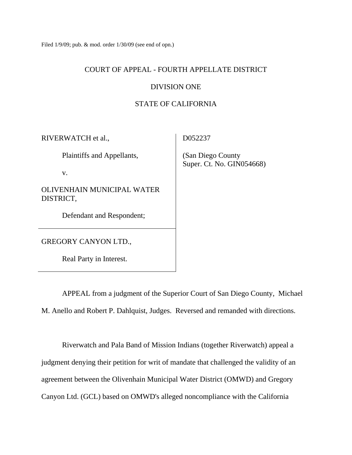Filed 1/9/09; pub. & mod. order 1/30/09 (see end of opn.)

### COURT OF APPEAL - FOURTH APPELLATE DISTRICT

### DIVISION ONE

# STATE OF CALIFORNIA

RIVERWATCH et al.,

Plaintiffs and Appellants,

v.

OLIVENHAIN MUNICIPAL WATER DISTRICT,

Defendant and Respondent;

GREGORY CANYON LTD.,

Real Party in Interest.

D052237

 (San Diego County Super. Ct. No. GIN054668)

 APPEAL from a judgment of the Superior Court of San Diego County, Michael M. Anello and Robert P. Dahlquist, Judges. Reversed and remanded with directions.

 Riverwatch and Pala Band of Mission Indians (together Riverwatch) appeal a judgment denying their petition for writ of mandate that challenged the validity of an agreement between the Olivenhain Municipal Water District (OMWD) and Gregory Canyon Ltd. (GCL) based on OMWD's alleged noncompliance with the California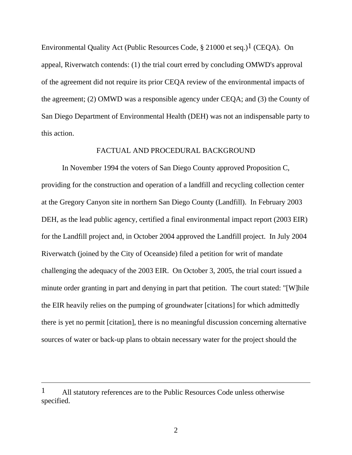Environmental Quality Act (Public Resources Code,  $\S$  21000 et seq.)<sup>1</sup> (CEQA). On appeal, Riverwatch contends: (1) the trial court erred by concluding OMWD's approval of the agreement did not require its prior CEQA review of the environmental impacts of the agreement; (2) OMWD was a responsible agency under CEQA; and (3) the County of San Diego Department of Environmental Health (DEH) was not an indispensable party to this action.

### FACTUAL AND PROCEDURAL BACKGROUND

 In November 1994 the voters of San Diego County approved Proposition C, providing for the construction and operation of a landfill and recycling collection center at the Gregory Canyon site in northern San Diego County (Landfill). In February 2003 DEH, as the lead public agency, certified a final environmental impact report (2003 EIR) for the Landfill project and, in October 2004 approved the Landfill project. In July 2004 Riverwatch (joined by the City of Oceanside) filed a petition for writ of mandate challenging the adequacy of the 2003 EIR. On October 3, 2005, the trial court issued a minute order granting in part and denying in part that petition. The court stated: "[W]hile the EIR heavily relies on the pumping of groundwater [citations] for which admittedly there is yet no permit [citation], there is no meaningful discussion concerning alternative sources of water or back-up plans to obtain necessary water for the project should the

<sup>1</sup> All statutory references are to the Public Resources Code unless otherwise specified.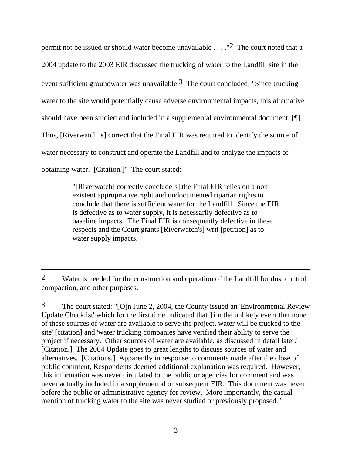permit not be issued or should water become unavailable  $\dots$ ."<sup>2</sup> The court noted that a 2004 update to the 2003 EIR discussed the trucking of water to the Landfill site in the event sufficient groundwater was unavailable.<sup>3</sup> The court concluded: "Since trucking water to the site would potentially cause adverse environmental impacts, this alternative should have been studied and included in a supplemental environmental document. [¶] Thus, [Riverwatch is] correct that the Final EIR was required to identify the source of water necessary to construct and operate the Landfill and to analyze the impacts of obtaining water. [Citation.]" The court stated:

> "[Riverwatch] correctly conclude[s] the Final EIR relies on a nonexistent appropriative right and undocumented riparian rights to conclude that there is sufficient water for the Landfill. Since the EIR is defective as to water supply, it is necessarily defective as to baseline impacts. The Final EIR is consequently defective in these respects and the Court grants [Riverwatch's] writ [petition] as to water supply impacts.

3 The court stated: "[O]n June 2, 2004, the County issued an 'Environmental Review Update Checklist' which for the first time indicated that '[i]n the unlikely event that none of these sources of water are available to serve the project, water will be trucked to the site' [citation] and 'water trucking companies have verified their ability to serve the project if necessary. Other sources of water are available, as discussed in detail later.' [Citation.] The 2004 Update goes to great lengths to discuss sources of water and alternatives. [Citations.] Apparently in response to comments made after the close of public comment, Respondents deemed additional explanation was required. However, this information was never circulated to the public or agencies for comment and was never actually included in a supplemental or subsequent EIR. This document was never before the public or administrative agency for review. More importantly, the casual mention of trucking water to the site was never studied or previously proposed."

<sup>2</sup> Water is needed for the construction and operation of the Landfill for dust control, compaction, and other purposes.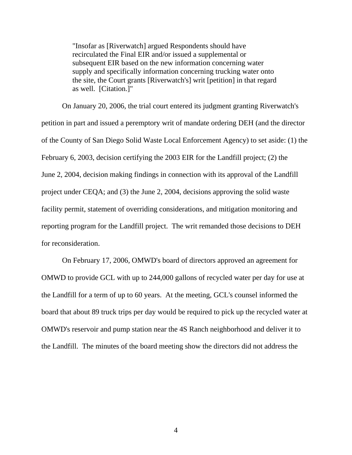"Insofar as [Riverwatch] argued Respondents should have recirculated the Final EIR and/or issued a supplemental or subsequent EIR based on the new information concerning water supply and specifically information concerning trucking water onto the site, the Court grants [Riverwatch's] writ [petition] in that regard as well. [Citation.]"

 On January 20, 2006, the trial court entered its judgment granting Riverwatch's petition in part and issued a peremptory writ of mandate ordering DEH (and the director of the County of San Diego Solid Waste Local Enforcement Agency) to set aside: (1) the February 6, 2003, decision certifying the 2003 EIR for the Landfill project; (2) the June 2, 2004, decision making findings in connection with its approval of the Landfill project under CEQA; and (3) the June 2, 2004, decisions approving the solid waste facility permit, statement of overriding considerations, and mitigation monitoring and reporting program for the Landfill project. The writ remanded those decisions to DEH for reconsideration.

 On February 17, 2006, OMWD's board of directors approved an agreement for OMWD to provide GCL with up to 244,000 gallons of recycled water per day for use at the Landfill for a term of up to 60 years. At the meeting, GCL's counsel informed the board that about 89 truck trips per day would be required to pick up the recycled water at OMWD's reservoir and pump station near the 4S Ranch neighborhood and deliver it to the Landfill. The minutes of the board meeting show the directors did not address the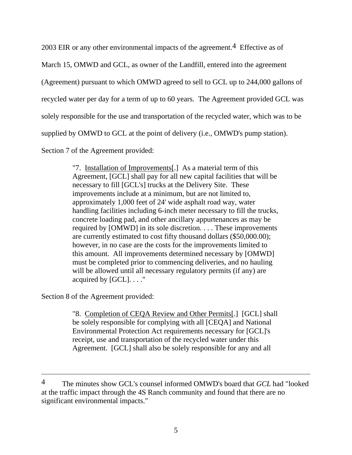2003 EIR or any other environmental impacts of the agreement.<sup>4</sup> Effective as of March 15, OMWD and GCL, as owner of the Landfill, entered into the agreement (Agreement) pursuant to which OMWD agreed to sell to GCL up to 244,000 gallons of recycled water per day for a term of up to 60 years. The Agreement provided GCL was solely responsible for the use and transportation of the recycled water, which was to be supplied by OMWD to GCL at the point of delivery (i.e., OMWD's pump station).

Section 7 of the Agreement provided:

"7. Installation of Improvements[.] As a material term of this Agreement, [GCL] shall pay for all new capital facilities that will be necessary to fill [GCL's] trucks at the Delivery Site. These improvements include at a minimum, but are not limited to, approximately 1,000 feet of 24' wide asphalt road way, water handling facilities including 6-inch meter necessary to fill the trucks, concrete loading pad, and other ancillary appurtenances as may be required by [OMWD] in its sole discretion. . . . These improvements are currently estimated to cost fifty thousand dollars (\$50,000.00); however, in no case are the costs for the improvements limited to this amount. All improvements determined necessary by [OMWD] must be completed prior to commencing deliveries, and no hauling will be allowed until all necessary regulatory permits (if any) are acquired by [GCL]. . . ."

Section 8 of the Agreement provided:

 $\overline{a}$ 

"8. Completion of CEQA Review and Other Permits[.] [GCL] shall be solely responsible for complying with all [CEQA] and National Environmental Protection Act requirements necessary for [GCL]'s receipt, use and transportation of the recycled water under this Agreement. [GCL] shall also be solely responsible for any and all

<sup>4</sup> The minutes show GCL's counsel informed OMWD's board that *GCL* had "looked at the traffic impact through the 4S Ranch community and found that there are no significant environmental impacts."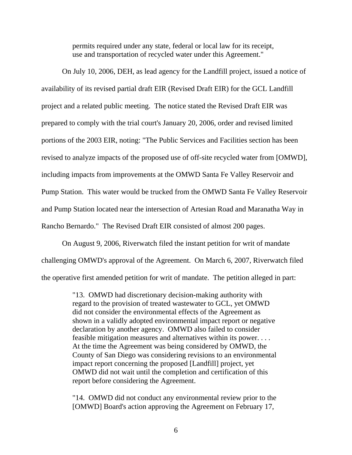permits required under any state, federal or local law for its receipt, use and transportation of recycled water under this Agreement."

 On July 10, 2006, DEH, as lead agency for the Landfill project, issued a notice of availability of its revised partial draft EIR (Revised Draft EIR) for the GCL Landfill project and a related public meeting. The notice stated the Revised Draft EIR was prepared to comply with the trial court's January 20, 2006, order and revised limited portions of the 2003 EIR, noting: "The Public Services and Facilities section has been revised to analyze impacts of the proposed use of off-site recycled water from [OMWD], including impacts from improvements at the OMWD Santa Fe Valley Reservoir and Pump Station. This water would be trucked from the OMWD Santa Fe Valley Reservoir and Pump Station located near the intersection of Artesian Road and Maranatha Way in Rancho Bernardo." The Revised Draft EIR consisted of almost 200 pages.

 On August 9, 2006, Riverwatch filed the instant petition for writ of mandate challenging OMWD's approval of the Agreement. On March 6, 2007, Riverwatch filed the operative first amended petition for writ of mandate. The petition alleged in part:

> "13. OMWD had discretionary decision-making authority with regard to the provision of treated wastewater to GCL, yet OMWD did not consider the environmental effects of the Agreement as shown in a validly adopted environmental impact report or negative declaration by another agency. OMWD also failed to consider feasible mitigation measures and alternatives within its power. . . . At the time the Agreement was being considered by OMWD, the County of San Diego was considering revisions to an environmental impact report concerning the proposed [Landfill] project, yet OMWD did not wait until the completion and certification of this report before considering the Agreement.

> "14. OMWD did not conduct any environmental review prior to the [OMWD] Board's action approving the Agreement on February 17,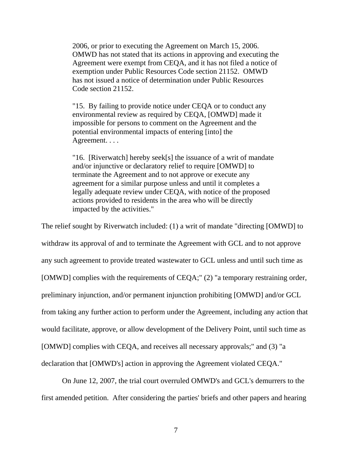2006, or prior to executing the Agreement on March 15, 2006. OMWD has not stated that its actions in approving and executing the Agreement were exempt from CEQA, and it has not filed a notice of exemption under Public Resources Code section 21152. OMWD has not issued a notice of determination under Public Resources Code section 21152.

"15. By failing to provide notice under CEQA or to conduct any environmental review as required by CEQA, [OMWD] made it impossible for persons to comment on the Agreement and the potential environmental impacts of entering [into] the Agreement. . . .

"16. [Riverwatch] hereby seek[s] the issuance of a writ of mandate and/or injunctive or declaratory relief to require [OMWD] to terminate the Agreement and to not approve or execute any agreement for a similar purpose unless and until it completes a legally adequate review under CEQA, with notice of the proposed actions provided to residents in the area who will be directly impacted by the activities."

The relief sought by Riverwatch included: (1) a writ of mandate "directing [OMWD] to withdraw its approval of and to terminate the Agreement with GCL and to not approve any such agreement to provide treated wastewater to GCL unless and until such time as [OMWD] complies with the requirements of CEQA;" (2) "a temporary restraining order, preliminary injunction, and/or permanent injunction prohibiting [OMWD] and/or GCL from taking any further action to perform under the Agreement, including any action that would facilitate, approve, or allow development of the Delivery Point, until such time as [OMWD] complies with CEQA, and receives all necessary approvals;" and (3) "a declaration that [OMWD's] action in approving the Agreement violated CEQA."

 On June 12, 2007, the trial court overruled OMWD's and GCL's demurrers to the first amended petition. After considering the parties' briefs and other papers and hearing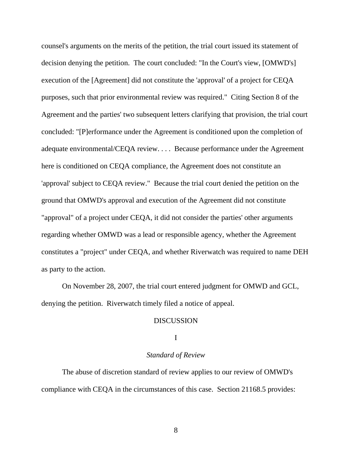counsel's arguments on the merits of the petition, the trial court issued its statement of decision denying the petition. The court concluded: "In the Court's view, [OMWD's] execution of the [Agreement] did not constitute the 'approval' of a project for CEQA purposes, such that prior environmental review was required." Citing Section 8 of the Agreement and the parties' two subsequent letters clarifying that provision, the trial court concluded: "[P]erformance under the Agreement is conditioned upon the completion of adequate environmental/CEQA review. . . . Because performance under the Agreement here is conditioned on CEQA compliance, the Agreement does not constitute an 'approval' subject to CEQA review." Because the trial court denied the petition on the ground that OMWD's approval and execution of the Agreement did not constitute "approval" of a project under CEQA, it did not consider the parties' other arguments regarding whether OMWD was a lead or responsible agency, whether the Agreement constitutes a "project" under CEQA, and whether Riverwatch was required to name DEH as party to the action.

 On November 28, 2007, the trial court entered judgment for OMWD and GCL, denying the petition. Riverwatch timely filed a notice of appeal.

#### DISCUSSION

#### I

### *Standard of Review*

 The abuse of discretion standard of review applies to our review of OMWD's compliance with CEQA in the circumstances of this case. Section 21168.5 provides: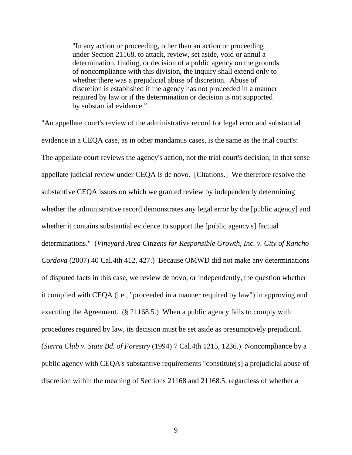"In any action or proceeding, other than an action or proceeding under Section 21168, to attack, review, set aside, void or annul a determination, finding, or decision of a public agency on the grounds of noncompliance with this division, the inquiry shall extend only to whether there was a prejudicial abuse of discretion. Abuse of discretion is established if the agency has not proceeded in a manner required by law or if the determination or decision is not supported by substantial evidence."

"An appellate court's review of the administrative record for legal error and substantial evidence in a CEQA case, as in other mandamus cases, is the same as the trial court's: The appellate court reviews the agency's action, not the trial court's decision; in that sense appellate judicial review under CEQA is de novo. [Citations.] We therefore resolve the substantive CEQA issues on which we granted review by independently determining whether the administrative record demonstrates any legal error by the [public agency] and whether it contains substantial evidence to support the [public agency's] factual determinations." (*Vineyard Area Citizens for Responsible Growth, Inc. v. City of Rancho Cordova* (2007) 40 Cal.4th 412, 427.) Because OMWD did not make any determinations of disputed facts in this case, we review de novo, or independently, the question whether it complied with CEQA (i.e., "proceeded in a manner required by law") in approving and executing the Agreement. (§ 21168.5.) When a public agency fails to comply with procedures required by law, its decision must be set aside as presumptively prejudicial. (*Sierra Club v. State Bd. of Forestry* (1994) 7 Cal.4th 1215, 1236.) Noncompliance by a public agency with CEQA's substantive requirements "constitute[s] a prejudicial abuse of discretion within the meaning of Sections 21168 and 21168.5, regardless of whether a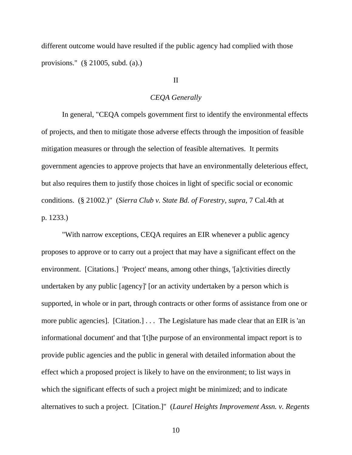different outcome would have resulted if the public agency had complied with those provisions." (§ 21005, subd. (a).)

# II

### *CEQA Generally*

 In general, "CEQA compels government first to identify the environmental effects of projects, and then to mitigate those adverse effects through the imposition of feasible mitigation measures or through the selection of feasible alternatives. It permits government agencies to approve projects that have an environmentally deleterious effect, but also requires them to justify those choices in light of specific social or economic conditions. (§ 21002.)" (*Sierra Club v. State Bd. of Forestry, supra,* 7 Cal.4th at p. 1233.)

 "With narrow exceptions, CEQA requires an EIR whenever a public agency proposes to approve or to carry out a project that may have a significant effect on the environment. [Citations.] 'Project' means, among other things, '[a]ctivities directly undertaken by any public [agency]' [or an activity undertaken by a person which is supported, in whole or in part, through contracts or other forms of assistance from one or more public agencies]. [Citation.] . . . The Legislature has made clear that an EIR is 'an informational document' and that '[t]he purpose of an environmental impact report is to provide public agencies and the public in general with detailed information about the effect which a proposed project is likely to have on the environment; to list ways in which the significant effects of such a project might be minimized; and to indicate alternatives to such a project. [Citation.]" (*Laurel Heights Improvement Assn. v. Regents*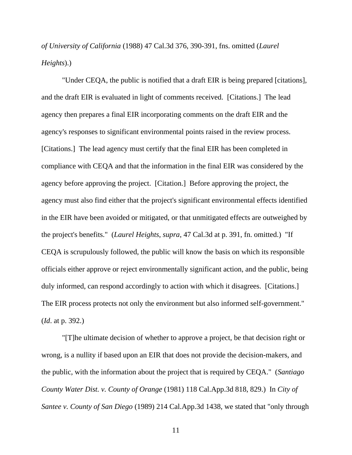*of University of California* (1988) 47 Cal.3d 376, 390-391, fns. omitted (*Laurel Heights*).)

 "Under CEQA, the public is notified that a draft EIR is being prepared [citations], and the draft EIR is evaluated in light of comments received. [Citations.] The lead agency then prepares a final EIR incorporating comments on the draft EIR and the agency's responses to significant environmental points raised in the review process. [Citations.] The lead agency must certify that the final EIR has been completed in compliance with CEQA and that the information in the final EIR was considered by the agency before approving the project. [Citation.] Before approving the project, the agency must also find either that the project's significant environmental effects identified in the EIR have been avoided or mitigated, or that unmitigated effects are outweighed by the project's benefits." (*Laurel Heights*, *supra*, 47 Cal.3d at p. 391, fn. omitted.) "If CEQA is scrupulously followed, the public will know the basis on which its responsible officials either approve or reject environmentally significant action, and the public, being duly informed, can respond accordingly to action with which it disagrees. [Citations.] The EIR process protects not only the environment but also informed self-government." (*Id*. at p. 392.)

 "[T]he ultimate decision of whether to approve a project, be that decision right or wrong, is a nullity if based upon an EIR that does not provide the decision-makers, and the public, with the information about the project that is required by CEQA." (*Santiago County Water Dist. v. County of Orange* (1981) 118 Cal.App.3d 818, 829.) In *City of Santee v. County of San Diego* (1989) 214 Cal.App.3d 1438, we stated that "only through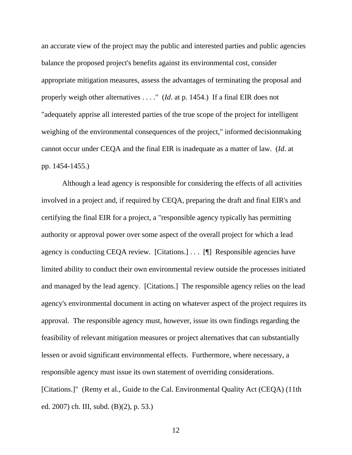an accurate view of the project may the public and interested parties and public agencies balance the proposed project's benefits against its environmental cost, consider appropriate mitigation measures, assess the advantages of terminating the proposal and properly weigh other alternatives . . . ." (*Id*. at p. 1454.) If a final EIR does not "adequately apprise all interested parties of the true scope of the project for intelligent weighing of the environmental consequences of the project," informed decisionmaking cannot occur under CEQA and the final EIR is inadequate as a matter of law. (*Id*. at pp. 1454-1455.)

 Although a lead agency is responsible for considering the effects of all activities involved in a project and, if required by CEQA, preparing the draft and final EIR's and certifying the final EIR for a project, a "responsible agency typically has permitting authority or approval power over some aspect of the overall project for which a lead agency is conducting CEQA review. [Citations.] . . . [¶] Responsible agencies have limited ability to conduct their own environmental review outside the processes initiated and managed by the lead agency. [Citations.] The responsible agency relies on the lead agency's environmental document in acting on whatever aspect of the project requires its approval. The responsible agency must, however, issue its own findings regarding the feasibility of relevant mitigation measures or project alternatives that can substantially lessen or avoid significant environmental effects. Furthermore, where necessary, a responsible agency must issue its own statement of overriding considerations. [Citations.]" (Remy et al., Guide to the Cal. Environmental Quality Act (CEQA) (11th ed. 2007) ch. III, subd. (B)(2), p. 53.)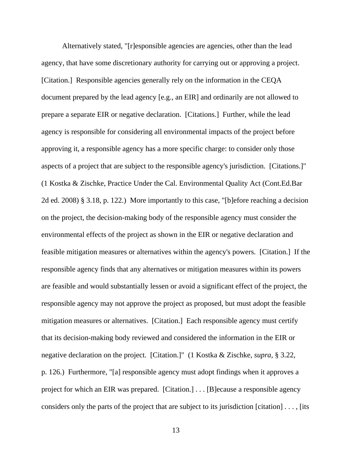Alternatively stated, "[r]esponsible agencies are agencies, other than the lead agency, that have some discretionary authority for carrying out or approving a project. [Citation.] Responsible agencies generally rely on the information in the CEQA document prepared by the lead agency [e.g., an EIR] and ordinarily are not allowed to prepare a separate EIR or negative declaration. [Citations.] Further, while the lead agency is responsible for considering all environmental impacts of the project before approving it, a responsible agency has a more specific charge: to consider only those aspects of a project that are subject to the responsible agency's jurisdiction. [Citations.]" (1 Kostka & Zischke, Practice Under the Cal. Environmental Quality Act (Cont.Ed.Bar 2d ed. 2008) § 3.18, p. 122.) More importantly to this case, "[b]efore reaching a decision on the project, the decision-making body of the responsible agency must consider the environmental effects of the project as shown in the EIR or negative declaration and feasible mitigation measures or alternatives within the agency's powers. [Citation.] If the responsible agency finds that any alternatives or mitigation measures within its powers are feasible and would substantially lessen or avoid a significant effect of the project, the responsible agency may not approve the project as proposed, but must adopt the feasible mitigation measures or alternatives. [Citation.] Each responsible agency must certify that its decision-making body reviewed and considered the information in the EIR or negative declaration on the project. [Citation.]" (1 Kostka & Zischke, *supra*, § 3.22, p. 126.) Furthermore, "[a] responsible agency must adopt findings when it approves a project for which an EIR was prepared. [Citation.] . . . [B]ecause a responsible agency considers only the parts of the project that are subject to its jurisdiction [citation] . . . , [its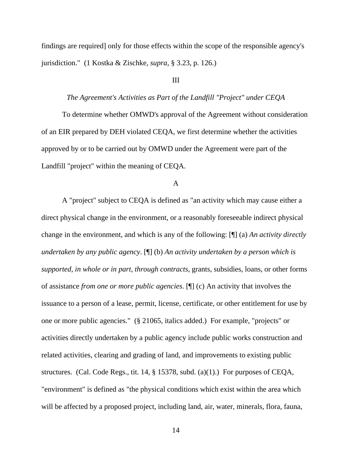findings are required] only for those effects within the scope of the responsible agency's jurisdiction." (1 Kostka & Zischke, *supra*, § 3.23, p. 126.)

### III

### *The Agreement's Activities as Part of the Landfill "Project" under CEQA*

 To determine whether OMWD's approval of the Agreement without consideration of an EIR prepared by DEH violated CEQA, we first determine whether the activities approved by or to be carried out by OMWD under the Agreement were part of the Landfill "project" within the meaning of CEQA.

### A

 A "project" subject to CEQA is defined as "an activity which may cause either a direct physical change in the environment, or a reasonably foreseeable indirect physical change in the environment, and which is any of the following: [¶] (a) *An activity directly undertaken by any public agency*. [¶] (b) *An activity undertaken by a person which is supported, in whole or in part, through contracts*, grants, subsidies, loans, or other forms of assistance *from one or more public agencies*. [¶] (c) An activity that involves the issuance to a person of a lease, permit, license, certificate, or other entitlement for use by one or more public agencies." (§ 21065, italics added.) For example, "projects" or activities directly undertaken by a public agency include public works construction and related activities, clearing and grading of land, and improvements to existing public structures. (Cal. Code Regs., tit. 14, § 15378, subd. (a)(1).) For purposes of CEQA, "environment" is defined as "the physical conditions which exist within the area which will be affected by a proposed project, including land, air, water, minerals, flora, fauna,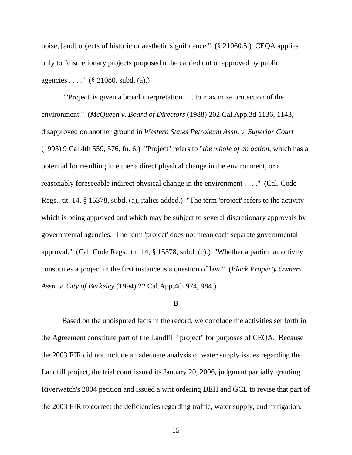noise, [and] objects of historic or aesthetic significance." (§ 21060.5.) CEQA applies only to "discretionary projects proposed to be carried out or approved by public agencies . . . ." (§ 21080, subd. (a).)

 " 'Project' is given a broad interpretation . . . to maximize protection of the environment." (*McQueen v. Board of Directors* (1988) 202 Cal.App.3d 1136, 1143, disapproved on another ground in *Western States Petroleum Assn. v. Superior Court*  (1995) 9 Cal.4th 559, 576, fn. 6.) "Project" refers to "*the whole of an action*, which has a potential for resulting in either a direct physical change in the environment, or a reasonably foreseeable indirect physical change in the environment . . . ." (Cal. Code Regs., tit. 14, § 15378, subd. (a), italics added.) "The term 'project' refers to the activity which is being approved and which may be subject to several discretionary approvals by governmental agencies. The term 'project' does not mean each separate governmental approval." (Cal. Code Regs., tit. 14, § 15378, subd. (c).) "Whether a particular activity constitutes a project in the first instance is a question of law." (*Black Property Owners Assn. v. City of Berkeley* (1994) 22 Cal.App.4th 974, 984.)

### B

 Based on the undisputed facts in the record, we conclude the activities set forth in the Agreement constitute part of the Landfill "project" for purposes of CEQA. Because the 2003 EIR did not include an adequate analysis of water supply issues regarding the Landfill project, the trial court issued its January 20, 2006, judgment partially granting Riverwatch's 2004 petition and issued a writ ordering DEH and GCL to revise that part of the 2003 EIR to correct the deficiencies regarding traffic, water supply, and mitigation.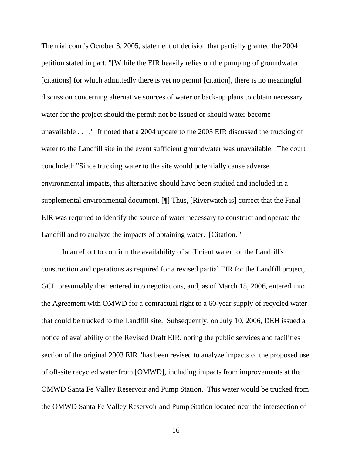The trial court's October 3, 2005, statement of decision that partially granted the 2004 petition stated in part: "[W]hile the EIR heavily relies on the pumping of groundwater [citations] for which admittedly there is yet no permit [citation], there is no meaningful discussion concerning alternative sources of water or back-up plans to obtain necessary water for the project should the permit not be issued or should water become unavailable . . . ." It noted that a 2004 update to the 2003 EIR discussed the trucking of water to the Landfill site in the event sufficient groundwater was unavailable. The court concluded: "Since trucking water to the site would potentially cause adverse environmental impacts, this alternative should have been studied and included in a supplemental environmental document. [¶] Thus, [Riverwatch is] correct that the Final EIR was required to identify the source of water necessary to construct and operate the Landfill and to analyze the impacts of obtaining water. [Citation.]"

 In an effort to confirm the availability of sufficient water for the Landfill's construction and operations as required for a revised partial EIR for the Landfill project, GCL presumably then entered into negotiations, and, as of March 15, 2006, entered into the Agreement with OMWD for a contractual right to a 60-year supply of recycled water that could be trucked to the Landfill site. Subsequently, on July 10, 2006, DEH issued a notice of availability of the Revised Draft EIR, noting the public services and facilities section of the original 2003 EIR "has been revised to analyze impacts of the proposed use of off-site recycled water from [OMWD], including impacts from improvements at the OMWD Santa Fe Valley Reservoir and Pump Station. This water would be trucked from the OMWD Santa Fe Valley Reservoir and Pump Station located near the intersection of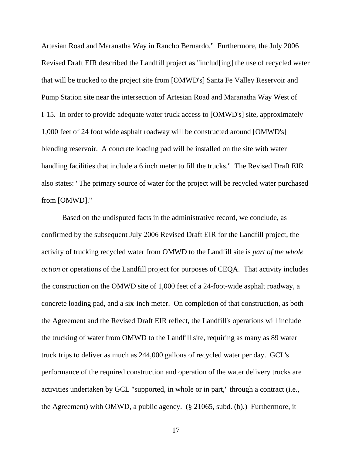Artesian Road and Maranatha Way in Rancho Bernardo." Furthermore, the July 2006 Revised Draft EIR described the Landfill project as "includ[ing] the use of recycled water that will be trucked to the project site from [OMWD's] Santa Fe Valley Reservoir and Pump Station site near the intersection of Artesian Road and Maranatha Way West of I-15. In order to provide adequate water truck access to [OMWD's] site, approximately 1,000 feet of 24 foot wide asphalt roadway will be constructed around [OMWD's] blending reservoir. A concrete loading pad will be installed on the site with water handling facilities that include a 6 inch meter to fill the trucks." The Revised Draft EIR also states: "The primary source of water for the project will be recycled water purchased from [OMWD]."

 Based on the undisputed facts in the administrative record, we conclude, as confirmed by the subsequent July 2006 Revised Draft EIR for the Landfill project, the activity of trucking recycled water from OMWD to the Landfill site is *part of the whole action* or operations of the Landfill project for purposes of CEQA. That activity includes the construction on the OMWD site of 1,000 feet of a 24-foot-wide asphalt roadway, a concrete loading pad, and a six-inch meter. On completion of that construction, as both the Agreement and the Revised Draft EIR reflect, the Landfill's operations will include the trucking of water from OMWD to the Landfill site, requiring as many as 89 water truck trips to deliver as much as 244,000 gallons of recycled water per day. GCL's performance of the required construction and operation of the water delivery trucks are activities undertaken by GCL "supported, in whole or in part," through a contract (i.e., the Agreement) with OMWD, a public agency. (§ 21065, subd. (b).) Furthermore, it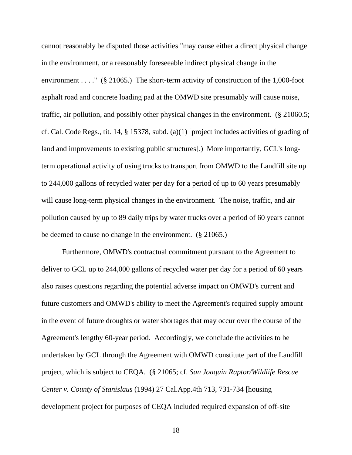cannot reasonably be disputed those activities "may cause either a direct physical change in the environment, or a reasonably foreseeable indirect physical change in the environment . . . . " ( $\S$  21065.) The short-term activity of construction of the 1,000-foot asphalt road and concrete loading pad at the OMWD site presumably will cause noise, traffic, air pollution, and possibly other physical changes in the environment. (§ 21060.5; cf. Cal. Code Regs., tit. 14, § 15378, subd. (a)(1) [project includes activities of grading of land and improvements to existing public structures].) More importantly, GCL's longterm operational activity of using trucks to transport from OMWD to the Landfill site up to 244,000 gallons of recycled water per day for a period of up to 60 years presumably will cause long-term physical changes in the environment. The noise, traffic, and air pollution caused by up to 89 daily trips by water trucks over a period of 60 years cannot be deemed to cause no change in the environment. (§ 21065.)

 Furthermore, OMWD's contractual commitment pursuant to the Agreement to deliver to GCL up to 244,000 gallons of recycled water per day for a period of 60 years also raises questions regarding the potential adverse impact on OMWD's current and future customers and OMWD's ability to meet the Agreement's required supply amount in the event of future droughts or water shortages that may occur over the course of the Agreement's lengthy 60-year period. Accordingly, we conclude the activities to be undertaken by GCL through the Agreement with OMWD constitute part of the Landfill project, which is subject to CEQA. (§ 21065; cf. *San Joaquin Raptor/Wildlife Rescue Center v. County of Stanislaus* (1994) 27 Cal.App.4th 713, 731-734 [housing development project for purposes of CEQA included required expansion of off-site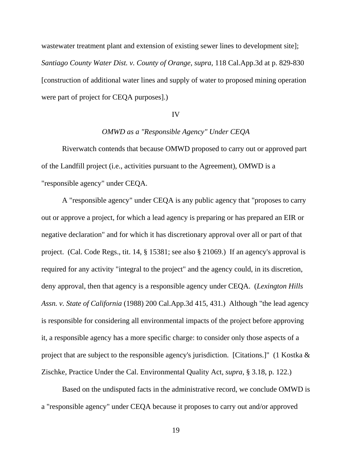wastewater treatment plant and extension of existing sewer lines to development site]; *Santiago County Water Dist. v. County of Orange*, *supra*, 118 Cal.App.3d at p. 829-830 [construction of additional water lines and supply of water to proposed mining operation were part of project for CEQA purposes].)

#### IV

# *OMWD as a "Responsible Agency" Under CEQA*

 Riverwatch contends that because OMWD proposed to carry out or approved part of the Landfill project (i.e., activities pursuant to the Agreement), OMWD is a "responsible agency" under CEQA.

 A "responsible agency" under CEQA is any public agency that "proposes to carry out or approve a project, for which a lead agency is preparing or has prepared an EIR or negative declaration" and for which it has discretionary approval over all or part of that project. (Cal. Code Regs., tit. 14, § 15381; see also § 21069.) If an agency's approval is required for any activity "integral to the project" and the agency could, in its discretion, deny approval, then that agency is a responsible agency under CEQA. (*Lexington Hills Assn. v. State of California* (1988) 200 Cal.App.3d 415, 431.) Although "the lead agency is responsible for considering all environmental impacts of the project before approving it, a responsible agency has a more specific charge: to consider only those aspects of a project that are subject to the responsible agency's jurisdiction. [Citations.]" (1 Kostka & Zischke, Practice Under the Cal. Environmental Quality Act, *supra*, § 3.18, p. 122.)

 Based on the undisputed facts in the administrative record, we conclude OMWD is a "responsible agency" under CEQA because it proposes to carry out and/or approved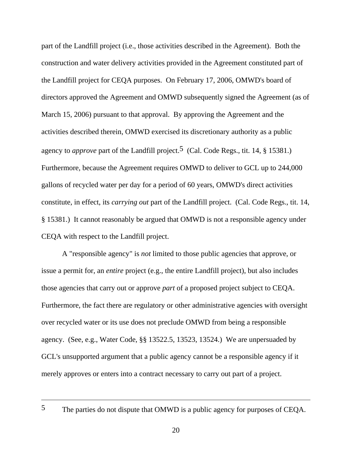part of the Landfill project (i.e., those activities described in the Agreement). Both the construction and water delivery activities provided in the Agreement constituted part of the Landfill project for CEQA purposes. On February 17, 2006, OMWD's board of directors approved the Agreement and OMWD subsequently signed the Agreement (as of March 15, 2006) pursuant to that approval. By approving the Agreement and the activities described therein, OMWD exercised its discretionary authority as a public agency to *approve* part of the Landfill project.<sup>5</sup> (Cal. Code Regs., tit. 14, § 15381.) Furthermore, because the Agreement requires OMWD to deliver to GCL up to 244,000 gallons of recycled water per day for a period of 60 years, OMWD's direct activities constitute, in effect, its *carrying out* part of the Landfill project. (Cal. Code Regs., tit. 14, § 15381.) It cannot reasonably be argued that OMWD is not a responsible agency under CEQA with respect to the Landfill project.

 A "responsible agency" is *not* limited to those public agencies that approve, or issue a permit for, an *entire* project (e.g., the entire Landfill project), but also includes those agencies that carry out or approve *part* of a proposed project subject to CEQA. Furthermore, the fact there are regulatory or other administrative agencies with oversight over recycled water or its use does not preclude OMWD from being a responsible agency. (See, e.g., Water Code, §§ 13522.5, 13523, 13524.) We are unpersuaded by GCL's unsupported argument that a public agency cannot be a responsible agency if it merely approves or enters into a contract necessary to carry out part of a project.

<sup>5</sup> The parties do not dispute that OMWD is a public agency for purposes of CEQA.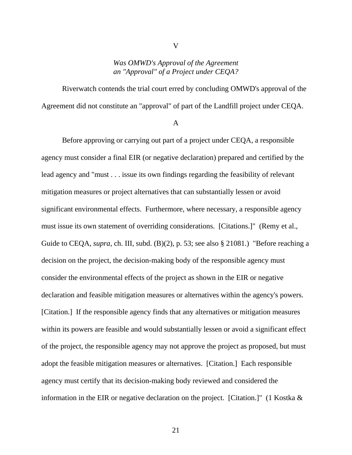# *Was OMWD's Approval of the Agreement an "Approval" of a Project under CEQA?*

V

 Riverwatch contends the trial court erred by concluding OMWD's approval of the Agreement did not constitute an "approval" of part of the Landfill project under CEQA.

A

 Before approving or carrying out part of a project under CEQA, a responsible agency must consider a final EIR (or negative declaration) prepared and certified by the lead agency and "must . . . issue its own findings regarding the feasibility of relevant mitigation measures or project alternatives that can substantially lessen or avoid significant environmental effects. Furthermore, where necessary, a responsible agency must issue its own statement of overriding considerations. [Citations.]" (Remy et al., Guide to CEQA, *supra*, ch. III, subd. (B)(2), p. 53; see also § 21081.) "Before reaching a decision on the project, the decision-making body of the responsible agency must consider the environmental effects of the project as shown in the EIR or negative declaration and feasible mitigation measures or alternatives within the agency's powers. [Citation.] If the responsible agency finds that any alternatives or mitigation measures within its powers are feasible and would substantially lessen or avoid a significant effect of the project, the responsible agency may not approve the project as proposed, but must adopt the feasible mitigation measures or alternatives. [Citation.] Each responsible agency must certify that its decision-making body reviewed and considered the information in the EIR or negative declaration on the project. [Citation.]" (1 Kostka &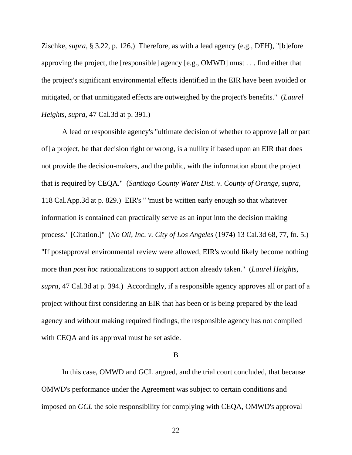Zischke, *supra*, § 3.22, p. 126.) Therefore, as with a lead agency (e.g., DEH), "[b]efore approving the project, the [responsible] agency [e.g., OMWD] must . . . find either that the project's significant environmental effects identified in the EIR have been avoided or mitigated, or that unmitigated effects are outweighed by the project's benefits." (*Laurel Heights*, *supra*, 47 Cal.3d at p. 391.)

 A lead or responsible agency's "ultimate decision of whether to approve [all or part of] a project, be that decision right or wrong, is a nullity if based upon an EIR that does not provide the decision-makers, and the public, with the information about the project that is required by CEQA." (*Santiago County Water Dist. v. County of Orange*, *supra*, 118 Cal.App.3d at p. 829.) EIR's " 'must be written early enough so that whatever information is contained can practically serve as an input into the decision making process.' [Citation.]" (*No Oil, Inc. v. City of Los Angeles* (1974) 13 Cal.3d 68, 77, fn. 5.) "If postapproval environmental review were allowed, EIR's would likely become nothing more than *post hoc* rationalizations to support action already taken." (*Laurel Heights, supra*, 47 Cal.3d at p. 394.) Accordingly, if a responsible agency approves all or part of a project without first considering an EIR that has been or is being prepared by the lead agency and without making required findings, the responsible agency has not complied with CEQA and its approval must be set aside.

B

 In this case, OMWD and GCL argued, and the trial court concluded, that because OMWD's performance under the Agreement was subject to certain conditions and imposed on *GCL* the sole responsibility for complying with CEQA, OMWD's approval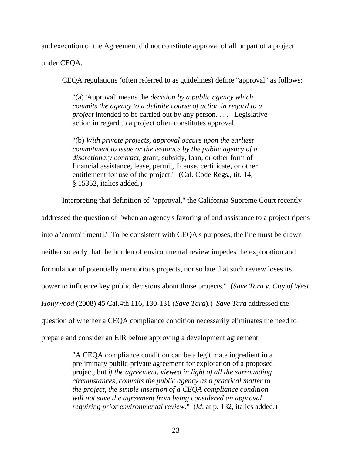and execution of the Agreement did not constitute approval of all or part of a project

under CEQA.

CEQA regulations (often referred to as guidelines) define "approval" as follows:

"(a) 'Approval' means the *decision by a public agency which commits the agency to a definite course of action in regard to a project* intended to be carried out by any person. . . . Legislative action in regard to a project often constitutes approval.

"(b) *With private projects, approval occurs upon the earliest commitment to issue or the issuance by the public agency of a discretionary contract*, grant, subsidy, loan, or other form of financial assistance, lease, permit, license, certificate, or other entitlement for use of the project." (Cal. Code Regs., tit. 14, § 15352, italics added.)

Interpreting that definition of "approval," the California Supreme Court recently

addressed the question of "when an agency's favoring of and assistance to a project ripens into a 'commit[ment].' To be consistent with CEQA's purposes, the line must be drawn neither so early that the burden of environmental review impedes the exploration and formulation of potentially meritorious projects, nor so late that such review loses its power to influence key public decisions about those projects." (*Save Tara v. City of West Hollywood* (2008) 45 Cal.4th 116, 130-131 (*Save Tara*).) *Save Tara* addressed the question of whether a CEQA compliance condition necessarily eliminates the need to prepare and consider an EIR before approving a development agreement:

> "A CEQA compliance condition can be a legitimate ingredient in a preliminary public-private agreement for exploration of a proposed project, but *if the agreement, viewed in light of all the surrounding circumstances, commits the public agency as a practical matter to the project, the simple insertion of a CEQA compliance condition will not save the agreement from being considered an approval requiring prior environmental review*." (*Id*. at p. 132, italics added.)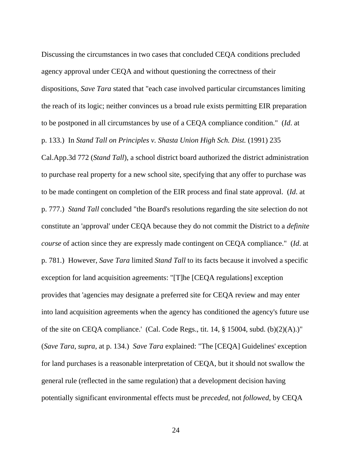Discussing the circumstances in two cases that concluded CEQA conditions precluded agency approval under CEQA and without questioning the correctness of their dispositions, *Save Tara* stated that "each case involved particular circumstances limiting the reach of its logic; neither convinces us a broad rule exists permitting EIR preparation to be postponed in all circumstances by use of a CEQA compliance condition." (*Id*. at

p. 133.) In *Stand Tall on Principles v. Shasta Union High Sch. Dist.* (1991) 235

Cal.App.3d 772 (*Stand Tall*), a school district board authorized the district administration to purchase real property for a new school site, specifying that any offer to purchase was to be made contingent on completion of the EIR process and final state approval. (*Id*. at p. 777.) *Stand Tall* concluded "the Board's resolutions regarding the site selection do not constitute an 'approval' under CEQA because they do not commit the District to a *definite course* of action since they are expressly made contingent on CEQA compliance." (*Id*. at p. 781.) However, *Save Tara* limited *Stand Tall* to its facts because it involved a specific exception for land acquisition agreements: "[T]he [CEQA regulations] exception provides that 'agencies may designate a preferred site for CEQA review and may enter into land acquisition agreements when the agency has conditioned the agency's future use of the site on CEQA compliance.' (Cal. Code Regs., tit. 14, § 15004, subd. (b)(2)(A).)" (*Save Tara*, *supra*, at p. 134.) *Save Tara* explained: "The [CEQA] Guidelines' exception for land purchases is a reasonable interpretation of CEQA, but it should not swallow the general rule (reflected in the same regulation) that a development decision having potentially significant environmental effects must be *preceded*, not *followed*, by CEQA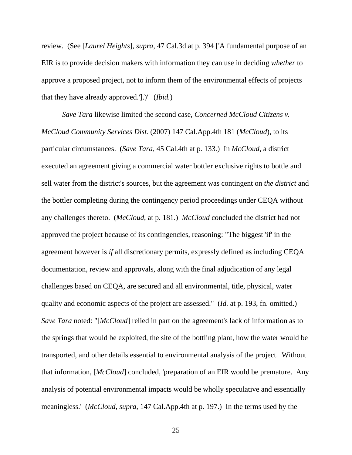review. (See [*Laurel Heights*], *supra*, 47 Cal.3d at p. 394 ['A fundamental purpose of an EIR is to provide decision makers with information they can use in deciding *whether* to approve a proposed project, not to inform them of the environmental effects of projects that they have already approved.'].)" (*Ibid.*)

*Save Tara* likewise limited the second case, *Concerned McCloud Citizens v. McCloud Community Services Dist.* (2007) 147 Cal.App.4th 181 (*McCloud*), to its particular circumstances. (*Save Tara*, 45 Cal.4th at p. 133.) In *McCloud*, a district executed an agreement giving a commercial water bottler exclusive rights to bottle and sell water from the district's sources, but the agreement was contingent on *the district* and the bottler completing during the contingency period proceedings under CEQA without any challenges thereto. (*McCloud*, at p. 181.) *McCloud* concluded the district had not approved the project because of its contingencies, reasoning: "The biggest 'if' in the agreement however is *if* all discretionary permits, expressly defined as including CEQA documentation, review and approvals, along with the final adjudication of any legal challenges based on CEQA, are secured and all environmental, title, physical, water quality and economic aspects of the project are assessed." (*Id.* at p. 193, fn. omitted.) *Save Tara* noted: "[*McCloud*] relied in part on the agreement's lack of information as to the springs that would be exploited, the site of the bottling plant, how the water would be transported, and other details essential to environmental analysis of the project. Without that information, [*McCloud*] concluded, 'preparation of an EIR would be premature. Any analysis of potential environmental impacts would be wholly speculative and essentially meaningless.' (*McCloud*, *supra*, 147 Cal.App.4th at p. 197.) In the terms used by the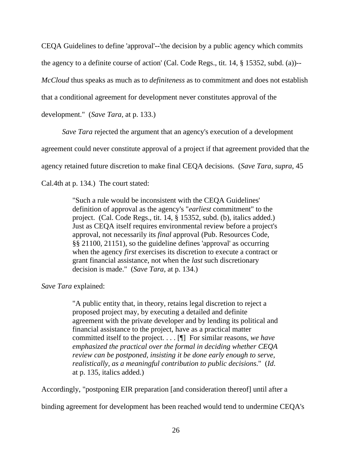CEQA Guidelines to define 'approval'--'the decision by a public agency which commits the agency to a definite course of action' (Cal. Code Regs., tit. 14, § 15352, subd. (a))-- *McCloud* thus speaks as much as to *definiteness* as to commitment and does not establish that a conditional agreement for development never constitutes approval of the development." (*Save Tara,* at p. 133.)

*Save Tara* rejected the argument that an agency's execution of a development

agreement could never constitute approval of a project if that agreement provided that the

agency retained future discretion to make final CEQA decisions. (*Save Tara*, *supra*, 45

Cal.4th at p. 134.) The court stated:

"Such a rule would be inconsistent with the CEQA Guidelines' definition of approval as the agency's "*earliest* commitment" to the project. (Cal. Code Regs., tit. 14, § 15352, subd. (b), italics added.) Just as CEQA itself requires environmental review before a project's approval, not necessarily its *final* approval (Pub. Resources Code, §§ 21100, 21151), so the guideline defines 'approval' as occurring when the agency *first* exercises its discretion to execute a contract or grant financial assistance, not when the *last* such discretionary decision is made." (*Save Tara*, at p. 134.)

*Save Tara* explained:

"A public entity that, in theory, retains legal discretion to reject a proposed project may, by executing a detailed and definite agreement with the private developer and by lending its political and financial assistance to the project, have as a practical matter committed itself to the project. . . . [¶] For similar reasons, *we have emphasized the practical over the formal in deciding whether CEQA review can be postponed, insisting it be done early enough to serve, realistically, as a meaningful contribution to public decisions*." (*Id*. at p. 135, italics added.)

Accordingly, "postponing EIR preparation [and consideration thereof] until after a

binding agreement for development has been reached would tend to undermine CEQA's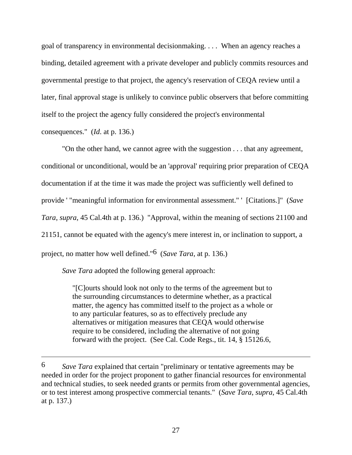goal of transparency in environmental decisionmaking. . . . When an agency reaches a binding, detailed agreement with a private developer and publicly commits resources and governmental prestige to that project, the agency's reservation of CEQA review until a later, final approval stage is unlikely to convince public observers that before committing itself to the project the agency fully considered the project's environmental consequences." (*Id*. at p. 136.)

 "On the other hand, we cannot agree with the suggestion . . . that any agreement, conditional or unconditional, would be an 'approval' requiring prior preparation of CEQA documentation if at the time it was made the project was sufficiently well defined to provide ' "meaningful information for environmental assessment." ' [Citations.]" (*Save Tara*, *supra*, 45 Cal.4th at p. 136.) "Approval, within the meaning of sections 21100 and 21151, cannot be equated with the agency's mere interest in, or inclination to support, a project, no matter how well defined."6 (*Save Tara*, at p. 136.)

*Save Tara* adopted the following general approach:

 $\overline{a}$ 

"[C]ourts should look not only to the terms of the agreement but to the surrounding circumstances to determine whether, as a practical matter, the agency has committed itself to the project as a whole or to any particular features, so as to effectively preclude any alternatives or mitigation measures that CEQA would otherwise require to be considered, including the alternative of not going forward with the project. (See Cal. Code Regs., tit. 14, § 15126.6,

<sup>6</sup> *Save Tara* explained that certain "preliminary or tentative agreements may be needed in order for the project proponent to gather financial resources for environmental and technical studies, to seek needed grants or permits from other governmental agencies, or to test interest among prospective commercial tenants." (*Save Tara*, *supra*, 45 Cal.4th at p. 137.)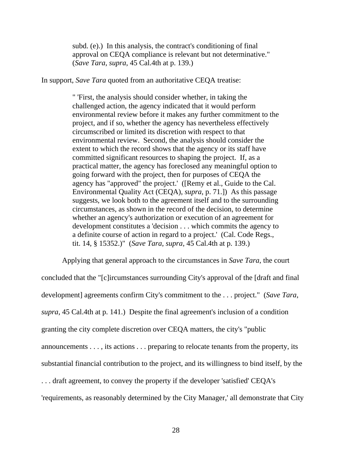subd. (e).) In this analysis, the contract's conditioning of final approval on CEQA compliance is relevant but not determinative." (*Save Tara*, *supra*, 45 Cal.4th at p. 139.)

In support, *Save Tara* quoted from an authoritative CEQA treatise:

" 'First, the analysis should consider whether, in taking the challenged action, the agency indicated that it would perform environmental review before it makes any further commitment to the project, and if so, whether the agency has nevertheless effectively circumscribed or limited its discretion with respect to that environmental review. Second, the analysis should consider the extent to which the record shows that the agency or its staff have committed significant resources to shaping the project. If, as a practical matter, the agency has foreclosed any meaningful option to going forward with the project, then for purposes of CEQA the agency has "approved" the project.' ([Remy et al., Guide to the Cal. Environmental Quality Act (CEQA), *supra*, p. 71.]) As this passage suggests, we look both to the agreement itself and to the surrounding circumstances, as shown in the record of the decision, to determine whether an agency's authorization or execution of an agreement for development constitutes a 'decision . . . which commits the agency to a definite course of action in regard to a project.' (Cal. Code Regs., tit. 14, § 15352.)" (*Save Tara*, *supra*, 45 Cal.4th at p. 139.)

 Applying that general approach to the circumstances in *Save Tara*, the court concluded that the "[c]ircumstances surrounding City's approval of the [draft and final development] agreements confirm City's commitment to the . . . project." (*Save Tara*, *supra*, 45 Cal.4th at p. 141.) Despite the final agreement's inclusion of a condition granting the city complete discretion over CEQA matters, the city's "public announcements . . . , its actions . . . preparing to relocate tenants from the property, its substantial financial contribution to the project, and its willingness to bind itself, by the . . . draft agreement, to convey the property if the developer 'satisfied' CEQA's

'requirements, as reasonably determined by the City Manager,' all demonstrate that City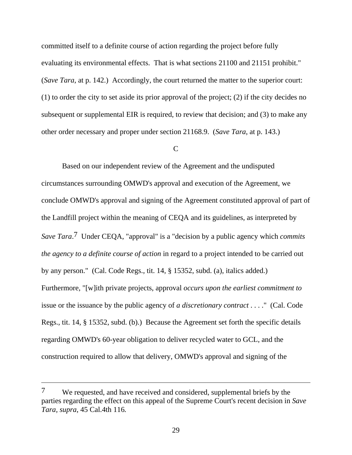committed itself to a definite course of action regarding the project before fully evaluating its environmental effects. That is what sections 21100 and 21151 prohibit." (*Save Tara*, at p. 142.) Accordingly, the court returned the matter to the superior court: (1) to order the city to set aside its prior approval of the project; (2) if the city decides no subsequent or supplemental EIR is required, to review that decision; and (3) to make any other order necessary and proper under section 21168.9. (*Save Tara*, at p. 143.)

# $\mathsf{C}$

 Based on our independent review of the Agreement and the undisputed circumstances surrounding OMWD's approval and execution of the Agreement, we conclude OMWD's approval and signing of the Agreement constituted approval of part of the Landfill project within the meaning of CEQA and its guidelines, as interpreted by *Save Tara*.7 Under CEQA, "approval" is a "decision by a public agency which *commits the agency to a definite course of action* in regard to a project intended to be carried out by any person." (Cal. Code Regs., tit. 14, § 15352, subd. (a), italics added.) Furthermore, "[w]ith private projects, approval *occurs upon the earliest commitment to* issue or the issuance by the public agency of *a discretionary contract* . . . ." (Cal. Code Regs., tit. 14, § 15352, subd. (b).) Because the Agreement set forth the specific details regarding OMWD's 60-year obligation to deliver recycled water to GCL, and the construction required to allow that delivery, OMWD's approval and signing of the

 $\overline{a}$ 

<sup>7</sup> We requested, and have received and considered, supplemental briefs by the parties regarding the effect on this appeal of the Supreme Court's recent decision in *Save Tara, supra*, 45 Cal.4th 116*.*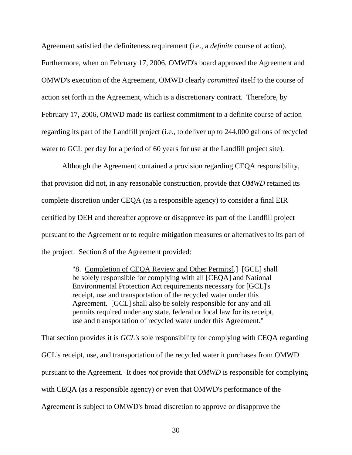Agreement satisfied the definiteness requirement (i.e., a *definite* course of action).

Furthermore, when on February 17, 2006, OMWD's board approved the Agreement and OMWD's execution of the Agreement, OMWD clearly *committed* itself to the course of action set forth in the Agreement, which is a discretionary contract. Therefore, by February 17, 2006, OMWD made its earliest commitment to a definite course of action regarding its part of the Landfill project (i.e., to deliver up to 244,000 gallons of recycled water to GCL per day for a period of 60 years for use at the Landfill project site).

 Although the Agreement contained a provision regarding CEQA responsibility, that provision did not, in any reasonable construction, provide that *OMWD* retained its complete discretion under CEQA (as a responsible agency) to consider a final EIR certified by DEH and thereafter approve or disapprove its part of the Landfill project pursuant to the Agreement or to require mitigation measures or alternatives to its part of the project. Section 8 of the Agreement provided:

> "8. Completion of CEQA Review and Other Permits[.] [GCL] shall be solely responsible for complying with all [CEQA] and National Environmental Protection Act requirements necessary for [GCL]'s receipt, use and transportation of the recycled water under this Agreement. [GCL] shall also be solely responsible for any and all permits required under any state, federal or local law for its receipt, use and transportation of recycled water under this Agreement."

That section provides it is *GCL's* sole responsibility for complying with CEQA regarding GCL's receipt, use, and transportation of the recycled water it purchases from OMWD pursuant to the Agreement. It does *not* provide that *OMWD* is responsible for complying with CEQA (as a responsible agency) *or* even that OMWD's performance of the Agreement is subject to OMWD's broad discretion to approve or disapprove the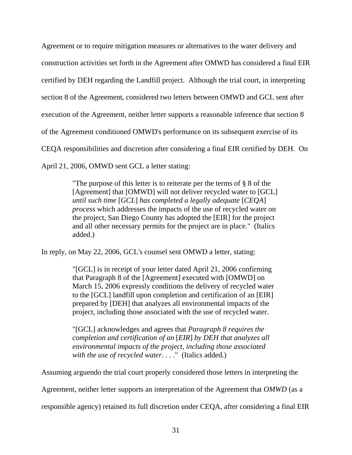Agreement or to require mitigation measures or alternatives to the water delivery and construction activities set forth in the Agreement after OMWD has considered a final EIR certified by DEH regarding the Landfill project. Although the trial court, in interpreting section 8 of the Agreement, considered two letters between OMWD and GCL sent after execution of the Agreement, neither letter supports a reasonable inference that section 8 of the Agreement conditioned OMWD's performance on its subsequent exercise of its CEQA responsibilities and discretion after considering a final EIR certified by DEH. On April 21, 2006, OMWD sent GCL a letter stating:

> "The purpose of this letter is to reiterate per the terms of § 8 of the [Agreement] that [OMWD] will not deliver recycled water to [GCL] *until such time* [*GCL*] *has completed a legally adequate* [*CEQA*] *process* which addresses the impacts of the use of recycled water on the project, San Diego County has adopted the [EIR] for the project and all other necessary permits for the project are in place." (Italics added.)

In reply, on May 22, 2006, GCL's counsel sent OMWD a letter, stating:

"[GCL] is in receipt of your letter dated April 21, 2006 confirming that Paragraph 8 of the [Agreement] executed with [OMWD] on March 15, 2006 expressly conditions the delivery of recycled water to the [GCL] landfill upon completion and certification of an [EIR] prepared by [DEH] that analyzes all environmental impacts of the project, including those associated with the use of recycled water.

"[GCL] acknowledges and agrees that *Paragraph 8 requires the completion and certification of an* [*EIR*] *by DEH that analyzes all environmental impacts of the project, including those associated with the use of recycled water*. . . ." (Italics added.)

Assuming arguendo the trial court properly considered those letters in interpreting the

Agreement, neither letter supports an interpretation of the Agreement that *OMWD* (as a

responsible agency) retained its full discretion under CEQA, after considering a final EIR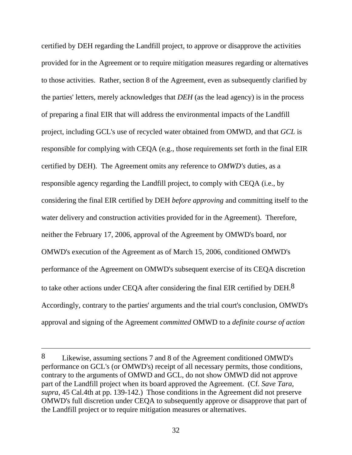certified by DEH regarding the Landfill project, to approve or disapprove the activities provided for in the Agreement or to require mitigation measures regarding or alternatives to those activities. Rather, section 8 of the Agreement, even as subsequently clarified by the parties' letters, merely acknowledges that *DEH* (as the lead agency) is in the process of preparing a final EIR that will address the environmental impacts of the Landfill project, including GCL's use of recycled water obtained from OMWD, and that *GCL* is responsible for complying with CEQA (e.g., those requirements set forth in the final EIR certified by DEH). The Agreement omits any reference to *OMWD's* duties, as a responsible agency regarding the Landfill project, to comply with CEQA (i.e., by considering the final EIR certified by DEH *before approving* and committing itself to the water delivery and construction activities provided for in the Agreement). Therefore, neither the February 17, 2006, approval of the Agreement by OMWD's board, nor OMWD's execution of the Agreement as of March 15, 2006, conditioned OMWD's performance of the Agreement on OMWD's subsequent exercise of its CEQA discretion to take other actions under CEQA after considering the final EIR certified by DEH. $8$ Accordingly, contrary to the parties' arguments and the trial court's conclusion, OMWD's approval and signing of the Agreement *committed* OMWD to a *definite course of action*

 $\overline{a}$ 

<sup>8</sup> Likewise, assuming sections 7 and 8 of the Agreement conditioned OMWD's performance on GCL's (or OMWD's) receipt of all necessary permits, those conditions, contrary to the arguments of OMWD and GCL, do not show OMWD did not approve part of the Landfill project when its board approved the Agreement. (Cf. *Save Tara*, *supra*, 45 Cal.4th at pp. 139-142.) Those conditions in the Agreement did not preserve OMWD's full discretion under CEQA to subsequently approve or disapprove that part of the Landfill project or to require mitigation measures or alternatives.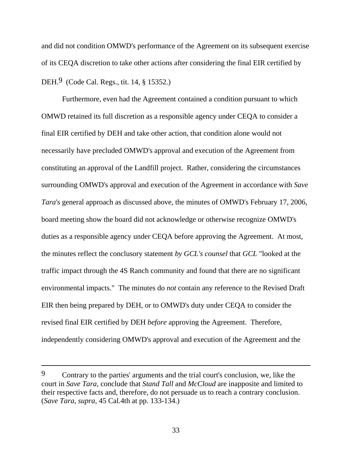and did not condition OMWD's performance of the Agreement on its subsequent exercise of its CEQA discretion to take other actions after considering the final EIR certified by DEH.9 (Code Cal. Regs., tit. 14, § 15352.)

 Furthermore, even had the Agreement contained a condition pursuant to which OMWD retained its full discretion as a responsible agency under CEQA to consider a final EIR certified by DEH and take other action, that condition alone would not necessarily have precluded OMWD's approval and execution of the Agreement from constituting an approval of the Landfill project. Rather, considering the circumstances surrounding OMWD's approval and execution of the Agreement in accordance with *Save Tara*'s general approach as discussed above, the minutes of OMWD's February 17, 2006, board meeting show the board did not acknowledge or otherwise recognize OMWD's duties as a responsible agency under CEQA before approving the Agreement. At most, the minutes reflect the conclusory statement *by GCL's counsel* that *GCL* "looked at the traffic impact through the 4S Ranch community and found that there are no significant environmental impacts." The minutes do *not* contain any reference to the Revised Draft EIR then being prepared by DEH, or to OMWD's duty under CEQA to consider the revised final EIR certified by DEH *before* approving the Agreement. Therefore, independently considering OMWD's approval and execution of the Agreement and the

 $\overline{a}$ 

<sup>9</sup> Contrary to the parties' arguments and the trial court's conclusion, we, like the court in *Save Tara*, conclude that *Stand Tall* and *McCloud* are inapposite and limited to their respective facts and, therefore, do not persuade us to reach a contrary conclusion. (*Save Tara*, *supra*, 45 Cal.4th at pp. 133-134.)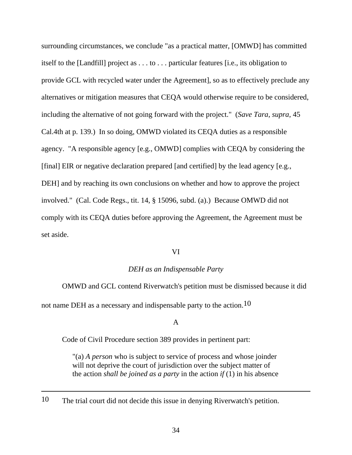surrounding circumstances, we conclude "as a practical matter, [OMWD] has committed itself to the [Landfill] project as . . . to . . . particular features [i.e., its obligation to provide GCL with recycled water under the Agreement], so as to effectively preclude any alternatives or mitigation measures that CEQA would otherwise require to be considered, including the alternative of not going forward with the project." (*Save Tara*, *supra*, 45 Cal.4th at p. 139.) In so doing, OMWD violated its CEQA duties as a responsible agency. "A responsible agency [e.g., OMWD] complies with CEQA by considering the [final] EIR or negative declaration prepared [and certified] by the lead agency [e.g., DEH] and by reaching its own conclusions on whether and how to approve the project involved." (Cal. Code Regs., tit. 14, § 15096, subd. (a).) Because OMWD did not comply with its CEQA duties before approving the Agreement, the Agreement must be set aside.

### VI

### *DEH as an Indispensable Party*

 OMWD and GCL contend Riverwatch's petition must be dismissed because it did not name DEH as a necessary and indispensable party to the action.10

### A

Code of Civil Procedure section 389 provides in pertinent part:

"(a) *A person* who is subject to service of process and whose joinder will not deprive the court of jurisdiction over the subject matter of the action *shall be joined as a party* in the action *if* (1) in his absence

10 The trial court did not decide this issue in denying Riverwatch's petition.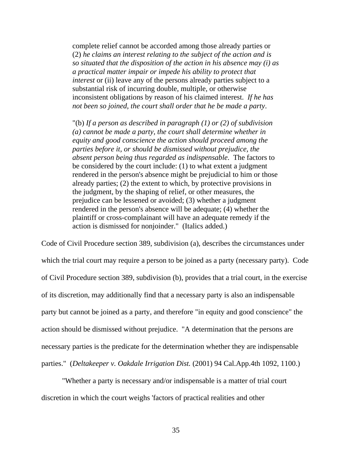complete relief cannot be accorded among those already parties or (2) *he claims an interest relating to the subject of the action and is so situated that the disposition of the action in his absence may (i) as a practical matter impair or impede his ability to protect that interest* or (ii) leave any of the persons already parties subject to a substantial risk of incurring double, multiple, or otherwise inconsistent obligations by reason of his claimed interest. *If he has not been so joined, the court shall order that he be made a party*.

"(b) *If a person as described in paragraph (1) or (2) of subdivision (a) cannot be made a party, the court shall determine whether in equity and good conscience the action should proceed among the parties before it, or should be dismissed without prejudice, the absent person being thus regarded as indispensable*. The factors to be considered by the court include: (1) to what extent a judgment rendered in the person's absence might be prejudicial to him or those already parties; (2) the extent to which, by protective provisions in the judgment, by the shaping of relief, or other measures, the prejudice can be lessened or avoided; (3) whether a judgment rendered in the person's absence will be adequate; (4) whether the plaintiff or cross-complainant will have an adequate remedy if the action is dismissed for nonjoinder." (Italics added.)

Code of Civil Procedure section 389, subdivision (a), describes the circumstances under which the trial court may require a person to be joined as a party (necessary party). Code of Civil Procedure section 389, subdivision (b), provides that a trial court, in the exercise of its discretion, may additionally find that a necessary party is also an indispensable party but cannot be joined as a party, and therefore "in equity and good conscience" the action should be dismissed without prejudice. "A determination that the persons are necessary parties is the predicate for the determination whether they are indispensable parties." (*Deltakeeper v. Oakdale Irrigation Dist.* (2001) 94 Cal.App.4th 1092, 1100.)

 "Whether a party is necessary and/or indispensable is a matter of trial court discretion in which the court weighs 'factors of practical realities and other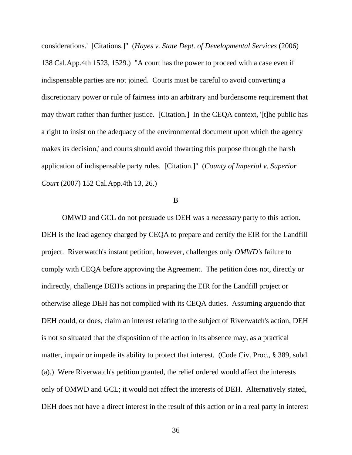considerations.' [Citations.]" (*Hayes v. State Dept. of Developmental Services* (2006) 138 Cal.App.4th 1523, 1529.) "A court has the power to proceed with a case even if indispensable parties are not joined. Courts must be careful to avoid converting a discretionary power or rule of fairness into an arbitrary and burdensome requirement that may thwart rather than further justice. [Citation.] In the CEQA context, '[t]he public has a right to insist on the adequacy of the environmental document upon which the agency makes its decision,' and courts should avoid thwarting this purpose through the harsh application of indispensable party rules. [Citation.]" (*County of Imperial v. Superior Court* (2007) 152 Cal.App.4th 13, 26.)

B

 OMWD and GCL do not persuade us DEH was a *necessary* party to this action. DEH is the lead agency charged by CEQA to prepare and certify the EIR for the Landfill project. Riverwatch's instant petition, however, challenges only *OMWD's* failure to comply with CEQA before approving the Agreement. The petition does not, directly or indirectly, challenge DEH's actions in preparing the EIR for the Landfill project or otherwise allege DEH has not complied with its CEQA duties. Assuming arguendo that DEH could, or does, claim an interest relating to the subject of Riverwatch's action, DEH is not so situated that the disposition of the action in its absence may, as a practical matter, impair or impede its ability to protect that interest*.* (Code Civ. Proc., § 389, subd. (a).) Were Riverwatch's petition granted, the relief ordered would affect the interests only of OMWD and GCL; it would not affect the interests of DEH. Alternatively stated, DEH does not have a direct interest in the result of this action or in a real party in interest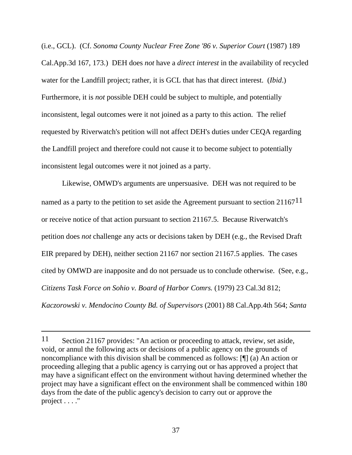(i.e., GCL). (Cf. *Sonoma County Nuclear Free Zone '86 v. Superior Court* (1987) 189 Cal.App.3d 167, 173.) DEH does *not* have a *direct interest* in the availability of recycled water for the Landfill project; rather, it is GCL that has that direct interest. (*Ibid*.) Furthermore, it is *not* possible DEH could be subject to multiple, and potentially inconsistent, legal outcomes were it not joined as a party to this action. The relief requested by Riverwatch's petition will not affect DEH's duties under CEQA regarding the Landfill project and therefore could not cause it to become subject to potentially inconsistent legal outcomes were it not joined as a party.

 Likewise, OMWD's arguments are unpersuasive. DEH was not required to be named as a party to the petition to set aside the Agreement pursuant to section 21167<sup>11</sup> or receive notice of that action pursuant to section 21167.5. Because Riverwatch's petition does *not* challenge any acts or decisions taken by DEH (e.g., the Revised Draft EIR prepared by DEH), neither section 21167 nor section 21167.5 applies. The cases cited by OMWD are inapposite and do not persuade us to conclude otherwise. (See, e.g., *Citizens Task Force on Sohio v. Board of Harbor Comrs.* (1979) 23 Cal.3d 812; *Kaczorowski v. Mendocino County Bd. of Supervisors* (2001) 88 Cal.App.4th 564; *Santa* 

<sup>11</sup> Section 21167 provides: "An action or proceeding to attack, review, set aside, void, or annul the following acts or decisions of a public agency on the grounds of noncompliance with this division shall be commenced as follows: [¶] (a) An action or proceeding alleging that a public agency is carrying out or has approved a project that may have a significant effect on the environment without having determined whether the project may have a significant effect on the environment shall be commenced within 180 days from the date of the public agency's decision to carry out or approve the project . . . ."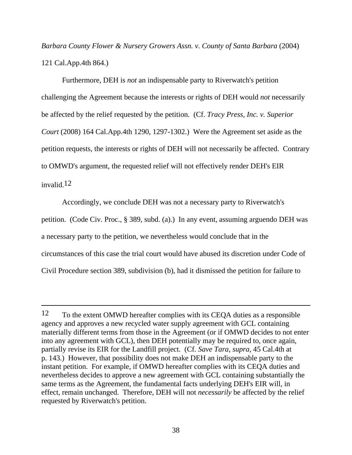*Barbara County Flower & Nursery Growers Assn. v. County of Santa Barbara* (2004) 121 Cal.App.4th 864.)

 Furthermore, DEH is *not* an indispensable party to Riverwatch's petition challenging the Agreement because the interests or rights of DEH would *not* necessarily be affected by the relief requested by the petition. (Cf. *Tracy Press, Inc. v. Superior Court* (2008) 164 Cal.App.4th 1290, 1297-1302.) Were the Agreement set aside as the petition requests, the interests or rights of DEH will not necessarily be affected. Contrary to OMWD's argument, the requested relief will not effectively render DEH's EIR invalid.12

 Accordingly, we conclude DEH was not a necessary party to Riverwatch's petition. (Code Civ. Proc., § 389, subd. (a).) In any event, assuming arguendo DEH was a necessary party to the petition, we nevertheless would conclude that in the circumstances of this case the trial court would have abused its discretion under Code of Civil Procedure section 389, subdivision (b), had it dismissed the petition for failure to

 $\overline{a}$ 

<sup>12</sup> To the extent OMWD hereafter complies with its CEQA duties as a responsible agency and approves a new recycled water supply agreement with GCL containing materially different terms from those in the Agreement (or if OMWD decides to not enter into any agreement with GCL), then DEH potentially may be required to, once again, partially revise its EIR for the Landfill project. (Cf. *Save Tara*, *supra*, 45 Cal.4th at p. 143.) However, that possibility does not make DEH an indispensable party to the instant petition. For example, if OMWD hereafter complies with its CEQA duties and nevertheless decides to approve a new agreement with GCL containing substantially the same terms as the Agreement, the fundamental facts underlying DEH's EIR will, in effect, remain unchanged. Therefore, DEH will not *necessarily* be affected by the relief requested by Riverwatch's petition.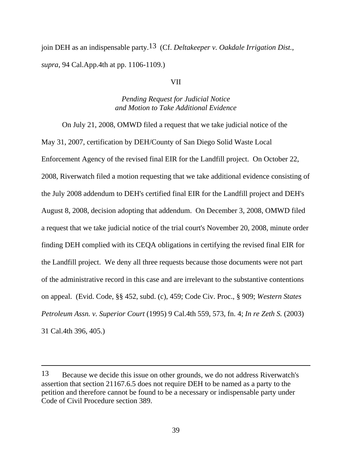join DEH as an indispensable party.13 (Cf. *Deltakeeper v. Oakdale Irrigation Dist.*, *supra*, 94 Cal.App.4th at pp. 1106-1109.)

#### VII

# *Pending Request for Judicial Notice and Motion to Take Additional Evidence*

 On July 21, 2008, OMWD filed a request that we take judicial notice of the May 31, 2007, certification by DEH/County of San Diego Solid Waste Local Enforcement Agency of the revised final EIR for the Landfill project. On October 22, 2008, Riverwatch filed a motion requesting that we take additional evidence consisting of the July 2008 addendum to DEH's certified final EIR for the Landfill project and DEH's August 8, 2008, decision adopting that addendum. On December 3, 2008, OMWD filed a request that we take judicial notice of the trial court's November 20, 2008, minute order finding DEH complied with its CEQA obligations in certifying the revised final EIR for the Landfill project. We deny all three requests because those documents were not part of the administrative record in this case and are irrelevant to the substantive contentions on appeal. (Evid. Code, §§ 452, subd. (c), 459; Code Civ. Proc., § 909; *Western States Petroleum Assn. v. Superior Court* (1995) 9 Cal.4th 559, 573, fn. 4; *In re Zeth S.* (2003) 31 Cal.4th 396, 405.)

 $\overline{a}$ 

<sup>13</sup> Because we decide this issue on other grounds, we do not address Riverwatch's assertion that section 21167.6.5 does not require DEH to be named as a party to the petition and therefore cannot be found to be a necessary or indispensable party under Code of Civil Procedure section 389.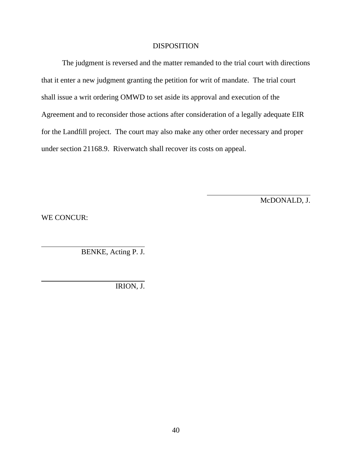### DISPOSITION

 The judgment is reversed and the matter remanded to the trial court with directions that it enter a new judgment granting the petition for writ of mandate. The trial court shall issue a writ ordering OMWD to set aside its approval and execution of the Agreement and to reconsider those actions after consideration of a legally adequate EIR for the Landfill project. The court may also make any other order necessary and proper under section 21168.9. Riverwatch shall recover its costs on appeal.

l

McDONALD, J.

WE CONCUR:

BENKE, Acting P. J.

IRION, J.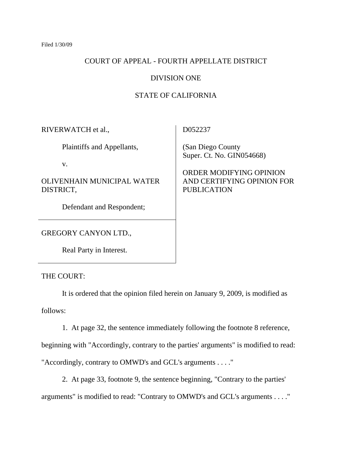# COURT OF APPEAL - FOURTH APPELLATE DISTRICT

# DIVISION ONE

# STATE OF CALIFORNIA

| RIVERWATCH et al.,                      | D052237                                                                     |
|-----------------------------------------|-----------------------------------------------------------------------------|
| Plaintiffs and Appellants,              | (San Diego County)<br>Super. Ct. No. GIN054668)                             |
| V.                                      |                                                                             |
| OLIVENHAIN MUNICIPAL WATER<br>DISTRICT, | ORDER MODIFYING OPINION<br>AND CERTIFYING OPINION FOR<br><b>PUBLICATION</b> |
| Defendant and Respondent;               |                                                                             |
| <b>GREGORY CANYON LTD.,</b>             |                                                                             |

THE COURT:

Real Party in Interest.

 It is ordered that the opinion filed herein on January 9, 2009, is modified as follows:

1. At page 32, the sentence immediately following the footnote 8 reference,

beginning with "Accordingly, contrary to the parties' arguments" is modified to read:

"Accordingly, contrary to OMWD's and GCL's arguments . . . ."

 2. At page 33, footnote 9, the sentence beginning, "Contrary to the parties' arguments" is modified to read: "Contrary to OMWD's and GCL's arguments . . . ."